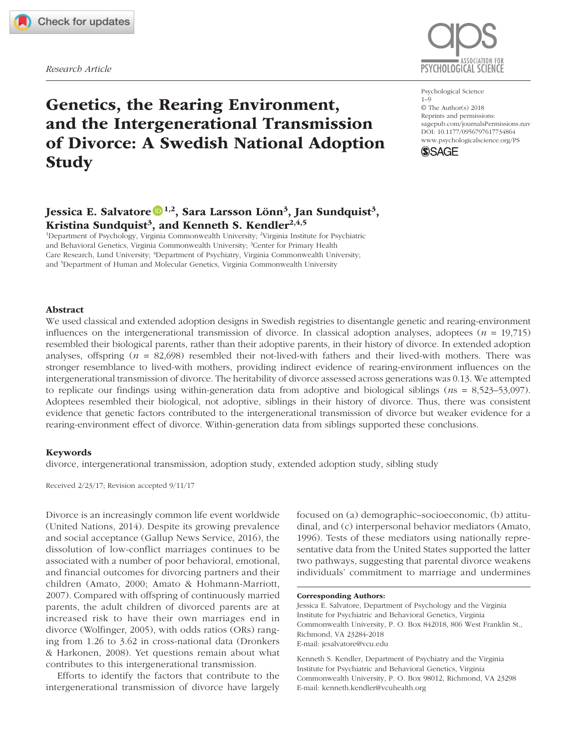[734864](http://crossmark.crossref.org/dialog/?doi=10.1177%2F0956797617734864&domain=pdf&date_stamp=2018-01-18)PSSXXX10.1177/0956797617734864Salvatore et al.Genes and Rearing Environment Divorce

*Research Article*

# Genetics, the Rearing Environment, and the Intergenerational Transmission of Divorce: A Swedish National Adoption **Study**

# Jessica E. Salvatore  $\mathbf{D}^{1,2}$ , Sara Larsson Lönn<sup>3</sup>, Jan Sundquist<sup>3</sup>, Kristina Sundquist<sup>3</sup>, and Kenneth S. Kendler<sup>2,4,5</sup>

<sup>1</sup>Department of Psychology, Virginia Commonwealth University; <sup>2</sup>Virginia Institute for Psychiatric and Behavioral Genetics, Virginia Commonwealth University; <sup>3</sup>Center for Primary Health Care Research, Lund University; <sup>4</sup>Department of Psychiatry, Virginia Commonwealth University; and <sup>5</sup>Department of Human and Molecular Genetics, Virginia Commonwealth University

### Abstract

We used classical and extended adoption designs in Swedish registries to disentangle genetic and rearing-environment influences on the intergenerational transmission of divorce. In classical adoption analyses, adoptees  $(n = 19,715)$ resembled their biological parents, rather than their adoptive parents, in their history of divorce. In extended adoption analyses, offspring (*n* = 82,698) resembled their not-lived-with fathers and their lived-with mothers. There was stronger resemblance to lived-with mothers, providing indirect evidence of rearing-environment influences on the intergenerational transmission of divorce. The heritability of divorce assessed across generations was 0.13. We attempted to replicate our findings using within-generation data from adoptive and biological siblings (*n*s = 8,523–53,097). Adoptees resembled their biological, not adoptive, siblings in their history of divorce. Thus, there was consistent evidence that genetic factors contributed to the intergenerational transmission of divorce but weaker evidence for a rearing-environment effect of divorce. Within-generation data from siblings supported these conclusions.

### Keywords

divorce, intergenerational transmission, adoption study, extended adoption study, sibling study

Received 2/23/17; Revision accepted 9/11/17

Divorce is an increasingly common life event worldwide (United Nations, 2014). Despite its growing prevalence and social acceptance (Gallup News Service, 2016), the dissolution of low-conflict marriages continues to be associated with a number of poor behavioral, emotional, and financial outcomes for divorcing partners and their children (Amato, 2000; Amato & Hohmann-Marriott, 2007). Compared with offspring of continuously married parents, the adult children of divorced parents are at increased risk to have their own marriages end in divorce (Wolfinger, 2005), with odds ratios (ORs) ranging from 1.26 to 3.62 in cross-national data (Dronkers & Harkonen, 2008). Yet questions remain about what contributes to this intergenerational transmission.

Efforts to identify the factors that contribute to the intergenerational transmission of divorce have largely focused on (a) demographic–socioeconomic, (b) attitudinal, and (c) interpersonal behavior mediators (Amato, 1996). Tests of these mediators using nationally representative data from the United States supported the latter two pathways, suggesting that parental divorce weakens individuals' commitment to marriage and undermines

#### Corresponding Authors:

Jessica E. Salvatore, Department of Psychology and the Virginia Institute for Psychiatric and Behavioral Genetics, Virginia Commonwealth University, P. O. Box 842018, 806 West Franklin St., Richmond, VA 23284-2018 E-mail: [jesalvatore@vcu.edu](mailto:jesalvatore@vcu.edu)

Kenneth S. Kendler, Department of Psychiatry and the Virginia Institute for Psychiatric and Behavioral Genetics, Virginia Commonwealth University, P. O. Box 98012, Richmond, VA 23298 E-mail: kenneth.kendler@vcuhealth.org



https://doi.org/10.1177/0956797617734864 DOI: 10.1177/0956797617734864 Psychological Science 1–9 © The Author(s) 2018 Reprints and permissions: [sagepub.com/journalsPermissions.nav](https://sagepub.com/journalsPermissions.nav) [www.psychologicalscience.org/PS](http://www.psychologicalscience.org/ps)

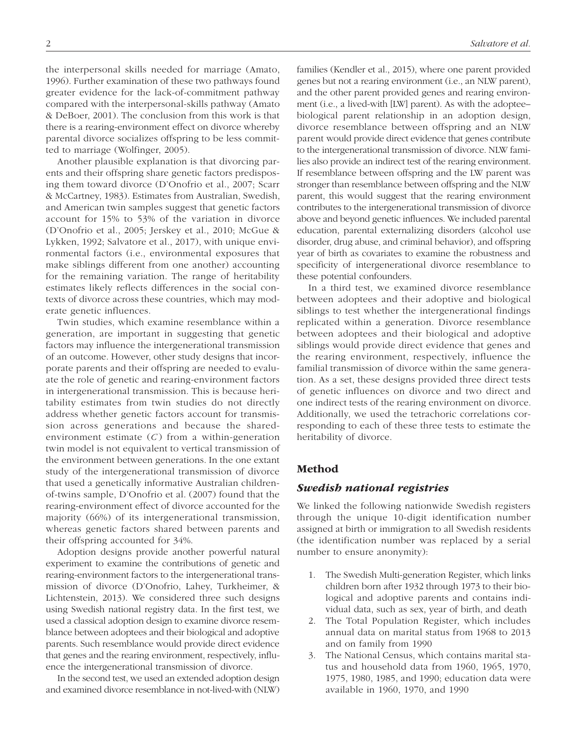the interpersonal skills needed for marriage (Amato, 1996). Further examination of these two pathways found greater evidence for the lack-of-commitment pathway compared with the interpersonal-skills pathway (Amato & DeBoer, 2001). The conclusion from this work is that there is a rearing-environment effect on divorce whereby parental divorce socializes offspring to be less committed to marriage (Wolfinger, 2005).

Another plausible explanation is that divorcing parents and their offspring share genetic factors predisposing them toward divorce (D'Onofrio et al., 2007; Scarr & McCartney, 1983). Estimates from Australian, Swedish, and American twin samples suggest that genetic factors account for 15% to 53% of the variation in divorce (D'Onofrio et al., 2005; Jerskey et al., 2010; McGue & Lykken, 1992; Salvatore et al., 2017), with unique environmental factors (i.e., environmental exposures that make siblings different from one another) accounting for the remaining variation. The range of heritability estimates likely reflects differences in the social contexts of divorce across these countries, which may moderate genetic influences.

Twin studies, which examine resemblance within a generation, are important in suggesting that genetic factors may influence the intergenerational transmission of an outcome. However, other study designs that incorporate parents and their offspring are needed to evaluate the role of genetic and rearing-environment factors in intergenerational transmission. This is because heritability estimates from twin studies do not directly address whether genetic factors account for transmission across generations and because the sharedenvironment estimate  $(C)$  from a within-generation twin model is not equivalent to vertical transmission of the environment between generations. In the one extant study of the intergenerational transmission of divorce that used a genetically informative Australian childrenof-twins sample, D'Onofrio et al. (2007) found that the rearing-environment effect of divorce accounted for the majority (66%) of its intergenerational transmission, whereas genetic factors shared between parents and their offspring accounted for 34%.

Adoption designs provide another powerful natural experiment to examine the contributions of genetic and rearing-environment factors to the intergenerational transmission of divorce (D'Onofrio, Lahey, Turkheimer, & Lichtenstein, 2013). We considered three such designs using Swedish national registry data. In the first test, we used a classical adoption design to examine divorce resemblance between adoptees and their biological and adoptive parents. Such resemblance would provide direct evidence that genes and the rearing environment, respectively, influence the intergenerational transmission of divorce.

In the second test, we used an extended adoption design and examined divorce resemblance in not-lived-with (NLW) families (Kendler et al., 2015), where one parent provided genes but not a rearing environment (i.e., an NLW parent), and the other parent provided genes and rearing environment (i.e., a lived-with [LW] parent). As with the adoptee– biological parent relationship in an adoption design, divorce resemblance between offspring and an NLW parent would provide direct evidence that genes contribute to the intergenerational transmission of divorce. NLW families also provide an indirect test of the rearing environment. If resemblance between offspring and the LW parent was stronger than resemblance between offspring and the NLW parent, this would suggest that the rearing environment contributes to the intergenerational transmission of divorce above and beyond genetic influences. We included parental education, parental externalizing disorders (alcohol use disorder, drug abuse, and criminal behavior), and offspring year of birth as covariates to examine the robustness and specificity of intergenerational divorce resemblance to these potential confounders.

In a third test, we examined divorce resemblance between adoptees and their adoptive and biological siblings to test whether the intergenerational findings replicated within a generation. Divorce resemblance between adoptees and their biological and adoptive siblings would provide direct evidence that genes and the rearing environment, respectively, influence the familial transmission of divorce within the same generation. As a set, these designs provided three direct tests of genetic influences on divorce and two direct and one indirect tests of the rearing environment on divorce. Additionally, we used the tetrachoric correlations corresponding to each of these three tests to estimate the heritability of divorce.

### Method

### *Swedish national registries*

We linked the following nationwide Swedish registers through the unique 10-digit identification number assigned at birth or immigration to all Swedish residents (the identification number was replaced by a serial number to ensure anonymity):

- 1. The Swedish Multi-generation Register, which links children born after 1932 through 1973 to their biological and adoptive parents and contains individual data, such as sex, year of birth, and death
- 2. The Total Population Register, which includes annual data on marital status from 1968 to 2013 and on family from 1990
- 3. The National Census, which contains marital status and household data from 1960, 1965, 1970, 1975, 1980, 1985, and 1990; education data were available in 1960, 1970, and 1990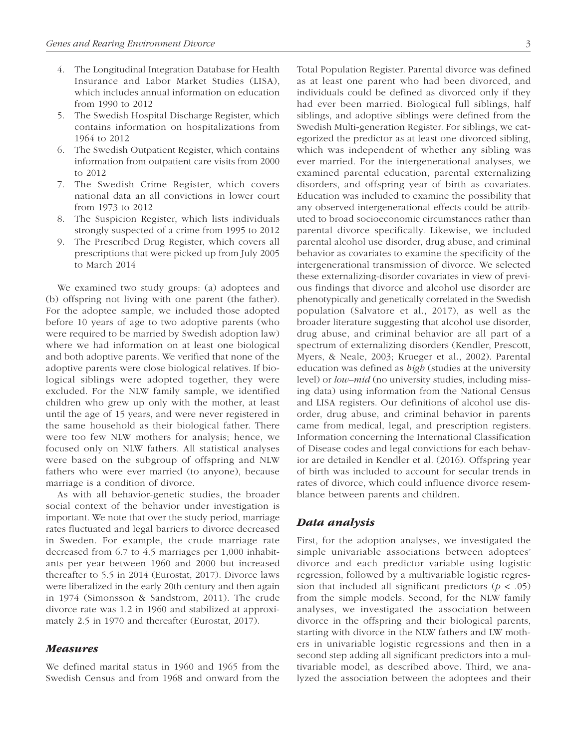- 4. The Longitudinal Integration Database for Health Insurance and Labor Market Studies (LISA), which includes annual information on education from 1990 to 2012
- 5. The Swedish Hospital Discharge Register, which contains information on hospitalizations from 1964 to 2012
- 6. The Swedish Outpatient Register, which contains information from outpatient care visits from 2000 to 2012
- 7. The Swedish Crime Register, which covers national data an all convictions in lower court from 1973 to 2012
- 8. The Suspicion Register, which lists individuals strongly suspected of a crime from 1995 to 2012
- 9. The Prescribed Drug Register, which covers all prescriptions that were picked up from July 2005 to March 2014

We examined two study groups: (a) adoptees and (b) offspring not living with one parent (the father). For the adoptee sample, we included those adopted before 10 years of age to two adoptive parents (who were required to be married by Swedish adoption law) where we had information on at least one biological and both adoptive parents. We verified that none of the adoptive parents were close biological relatives. If biological siblings were adopted together, they were excluded. For the NLW family sample, we identified children who grew up only with the mother, at least until the age of 15 years, and were never registered in the same household as their biological father. There were too few NLW mothers for analysis; hence, we focused only on NLW fathers. All statistical analyses were based on the subgroup of offspring and NLW fathers who were ever married (to anyone), because marriage is a condition of divorce.

As with all behavior-genetic studies, the broader social context of the behavior under investigation is important. We note that over the study period, marriage rates fluctuated and legal barriers to divorce decreased in Sweden. For example, the crude marriage rate decreased from 6.7 to 4.5 marriages per 1,000 inhabitants per year between 1960 and 2000 but increased thereafter to 5.5 in 2014 (Eurostat, 2017). Divorce laws were liberalized in the early 20th century and then again in 1974 (Simonsson & Sandstrom, 2011). The crude divorce rate was 1.2 in 1960 and stabilized at approximately 2.5 in 1970 and thereafter (Eurostat, 2017).

### *Measures*

We defined marital status in 1960 and 1965 from the Swedish Census and from 1968 and onward from the Total Population Register. Parental divorce was defined as at least one parent who had been divorced, and individuals could be defined as divorced only if they had ever been married. Biological full siblings, half siblings, and adoptive siblings were defined from the Swedish Multi-generation Register. For siblings, we categorized the predictor as at least one divorced sibling, which was independent of whether any sibling was ever married. For the intergenerational analyses, we examined parental education, parental externalizing disorders, and offspring year of birth as covariates. Education was included to examine the possibility that any observed intergenerational effects could be attributed to broad socioeconomic circumstances rather than parental divorce specifically. Likewise, we included parental alcohol use disorder, drug abuse, and criminal behavior as covariates to examine the specificity of the intergenerational transmission of divorce. We selected these externalizing-disorder covariates in view of previous findings that divorce and alcohol use disorder are phenotypically and genetically correlated in the Swedish population (Salvatore et al., 2017), as well as the broader literature suggesting that alcohol use disorder, drug abuse, and criminal behavior are all part of a spectrum of externalizing disorders (Kendler, Prescott, Myers, & Neale, 2003; Krueger et al., 2002). Parental education was defined as *high* (studies at the university level) or *low–mid* (no university studies, including missing data) using information from the National Census and LISA registers. Our definitions of alcohol use disorder, drug abuse, and criminal behavior in parents came from medical, legal, and prescription registers. Information concerning the International Classification of Disease codes and legal convictions for each behavior are detailed in Kendler et al. (2016). Offspring year of birth was included to account for secular trends in rates of divorce, which could influence divorce resemblance between parents and children.

### *Data analysis*

First, for the adoption analyses, we investigated the simple univariable associations between adoptees' divorce and each predictor variable using logistic regression, followed by a multivariable logistic regression that included all significant predictors  $(p < .05)$ from the simple models. Second, for the NLW family analyses, we investigated the association between divorce in the offspring and their biological parents, starting with divorce in the NLW fathers and LW mothers in univariable logistic regressions and then in a second step adding all significant predictors into a multivariable model, as described above. Third, we analyzed the association between the adoptees and their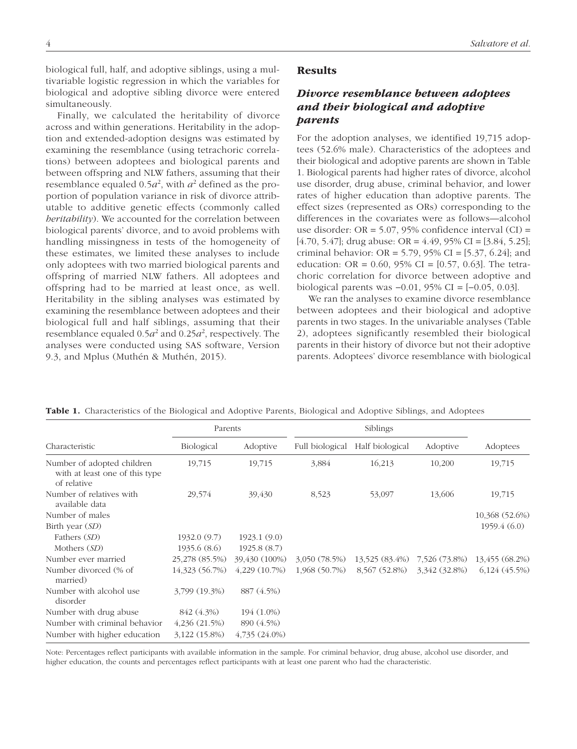biological full, half, and adoptive siblings, using a multivariable logistic regression in which the variables for biological and adoptive sibling divorce were entered simultaneously.

Finally, we calculated the heritability of divorce across and within generations. Heritability in the adoption and extended-adoption designs was estimated by examining the resemblance (using tetrachoric correlations) between adoptees and biological parents and between offspring and NLW fathers, assuming that their resemblance equaled  $0.5a^2$ , with  $a^2$  defined as the proportion of population variance in risk of divorce attributable to additive genetic effects (commonly called *heritability*). We accounted for the correlation between biological parents' divorce, and to avoid problems with handling missingness in tests of the homogeneity of these estimates, we limited these analyses to include only adoptees with two married biological parents and offspring of married NLW fathers. All adoptees and offspring had to be married at least once, as well. Heritability in the sibling analyses was estimated by examining the resemblance between adoptees and their biological full and half siblings, assuming that their resemblance equaled  $0.5a^2$  and  $0.25a^2$ , respectively. The analyses were conducted using SAS software, Version 9.3, and Mplus (Muthén & Muthén, 2015).

## Results

# *Divorce resemblance between adoptees and their biological and adoptive parents*

For the adoption analyses, we identified 19,715 adoptees (52.6% male). Characteristics of the adoptees and their biological and adoptive parents are shown in Table 1. Biological parents had higher rates of divorce, alcohol use disorder, drug abuse, criminal behavior, and lower rates of higher education than adoptive parents. The effect sizes (represented as ORs) corresponding to the differences in the covariates were as follows—alcohol use disorder: OR =  $5.07$ ,  $95%$  confidence interval (CI) =  $[4.70, 5.47]$ ; drug abuse: OR = 4.49, 95% CI = [3.84, 5.25]; criminal behavior: OR = 5.79, 95% CI = [5.37, 6.24]; and education: OR =  $0.60$ ,  $95\%$  CI =  $[0.57, 0.63]$ . The tetrachoric correlation for divorce between adoptive and biological parents was −0.01, 95% CI = [−0.05, 0.03].

We ran the analyses to examine divorce resemblance between adoptees and their biological and adoptive parents in two stages. In the univariable analyses (Table 2), adoptees significantly resembled their biological parents in their history of divorce but not their adoptive parents. Adoptees' divorce resemblance with biological

|                                                                             | Parents        |                    | Siblings        |                 |               |                 |
|-----------------------------------------------------------------------------|----------------|--------------------|-----------------|-----------------|---------------|-----------------|
| Characteristic                                                              | Biological     | Adoptive           | Full biological | Half biological | Adoptive      | Adoptees        |
| Number of adopted children<br>with at least one of this type<br>of relative | 19,715         | 19,715             | 3,884           | 16,213          | 10,200        | 19,715          |
| Number of relatives with<br>available data                                  | 29,574         | 39,430             | 8,523           | 53,097          | 13,606        | 19,715          |
| Number of males                                                             |                |                    |                 |                 |               | 10,368 (52.6%)  |
| Birth year (SD)                                                             |                |                    |                 |                 |               | 1959.4(6.0)     |
| Fathers (SD)                                                                | 1932.0(9.7)    | 1923.1(9.0)        |                 |                 |               |                 |
| Mothers (SD)                                                                | 1935.6(8.6)    | 1925.8(8.7)        |                 |                 |               |                 |
| Number ever married                                                         | 25,278 (85.5%) | 39,430 (100%)      | 3,050 (78.5%)   | 13,525 (83.4%)  | 7,526 (73.8%) | 13,455 (68.2%)  |
| Number divorced (% of<br>married)                                           | 14,323 (56.7%) | $4,229$ $(10.7\%)$ | 1,968 (50.7%)   | 8,567 (52.8%)   | 3,342 (32.8%) | $6,124$ (45.5%) |
| Number with alcohol use<br>disorder                                         | 3,799 (19.3%)  | 887 (4.5%)         |                 |                 |               |                 |
| Number with drug abuse                                                      | 842 (4.3%)     | 194 (1.0%)         |                 |                 |               |                 |
| Number with criminal behavior                                               | 4,236(21.5%)   | 890 (4.5%)         |                 |                 |               |                 |
| Number with higher education                                                | 3,122 (15.8%)  | $4,735(24.0\%)$    |                 |                 |               |                 |

Table 1. Characteristics of the Biological and Adoptive Parents, Biological and Adoptive Siblings, and Adoptees

Note: Percentages reflect participants with available information in the sample. For criminal behavior, drug abuse, alcohol use disorder, and higher education, the counts and percentages reflect participants with at least one parent who had the characteristic.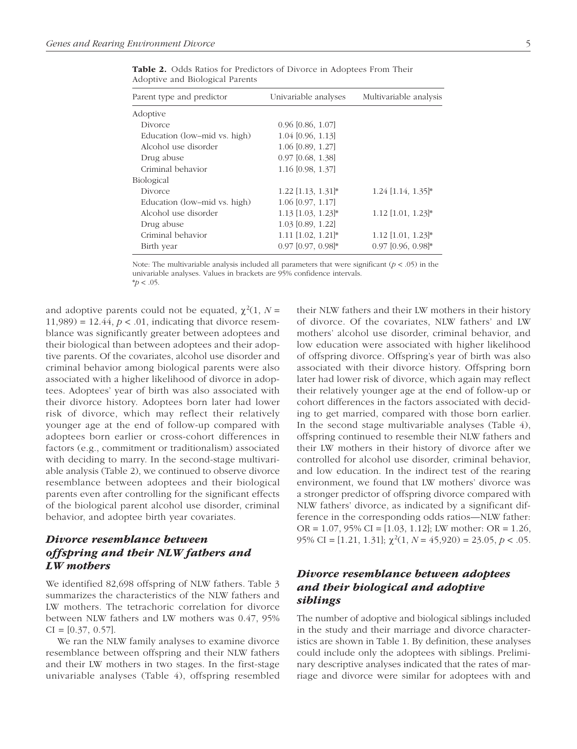| Parent type and predictor    | Univariable analyses | Multivariable analysis |  |
|------------------------------|----------------------|------------------------|--|
| Adoptive                     |                      |                        |  |
| Divorce                      | $0.96$ [0.86, 1.07]  |                        |  |
| Education (low–mid vs. high) | 1.04 [0.96, 1.13]    |                        |  |
| Alcohol use disorder         | 1.06 [0.89, 1.27]    |                        |  |
| Drug abuse                   | $0.97$ [0.68, 1.38]  |                        |  |
| Criminal behavior            | 1.16 [0.98, 1.37]    |                        |  |
| Biological                   |                      |                        |  |
| Divorce                      | $1.22$ [1.13, 1.31]* | $1.24$ [1.14, 1.35]*   |  |
| Education (low–mid vs. high) | 1.06 [0.97, 1.17]    |                        |  |
| Alcohol use disorder         | $1.13$ [1.03, 1.23]* | $1.12$ [1.01, 1.23]*   |  |
| Drug abuse                   | 1.03 [0.89, 1.22]    |                        |  |
| Criminal behavior            | $1.11$ [1.02, 1.21]* | $1.12$ [1.01, 1.23]*   |  |
| Birth year                   | $0.97$ [0.97, 0.98]* | $0.97$ [0.96, 0.98]*   |  |

Table 2. Odds Ratios for Predictors of Divorce in Adoptees From Their Adoptive and Biological Parents

Note: The multivariable analysis included all parameters that were significant  $(p < .05)$  in the univariable analyses. Values in brackets are 95% confidence intervals.  $*_{\mathcal{D}} < .05$ .

and adoptive parents could not be equated,  $\chi^2(1, N =$ 11,989) = 12.44,  $p < .01$ , indicating that divorce resemblance was significantly greater between adoptees and their biological than between adoptees and their adoptive parents. Of the covariates, alcohol use disorder and criminal behavior among biological parents were also associated with a higher likelihood of divorce in adoptees. Adoptees' year of birth was also associated with their divorce history. Adoptees born later had lower risk of divorce, which may reflect their relatively younger age at the end of follow-up compared with adoptees born earlier or cross-cohort differences in factors (e.g., commitment or traditionalism) associated with deciding to marry. In the second-stage multivariable analysis (Table 2), we continued to observe divorce resemblance between adoptees and their biological parents even after controlling for the significant effects of the biological parent alcohol use disorder, criminal behavior, and adoptee birth year covariates.

# *Divorce resemblance between offspring and their NLW fathers and LW mothers*

We identified 82,698 offspring of NLW fathers. Table 3 summarizes the characteristics of the NLW fathers and LW mothers. The tetrachoric correlation for divorce between NLW fathers and LW mothers was 0.47, 95%  $CI = [0.37, 0.57].$ 

We ran the NLW family analyses to examine divorce resemblance between offspring and their NLW fathers and their LW mothers in two stages. In the first-stage univariable analyses (Table 4), offspring resembled their NLW fathers and their LW mothers in their history of divorce. Of the covariates, NLW fathers' and LW mothers' alcohol use disorder, criminal behavior, and low education were associated with higher likelihood of offspring divorce. Offspring's year of birth was also associated with their divorce history. Offspring born later had lower risk of divorce, which again may reflect their relatively younger age at the end of follow-up or cohort differences in the factors associated with deciding to get married, compared with those born earlier. In the second stage multivariable analyses (Table 4), offspring continued to resemble their NLW fathers and their LW mothers in their history of divorce after we controlled for alcohol use disorder, criminal behavior, and low education. In the indirect test of the rearing environment, we found that LW mothers' divorce was a stronger predictor of offspring divorce compared with NLW fathers' divorce, as indicated by a significant difference in the corresponding odds ratios—NLW father: OR = 1.07, 95% CI =  $[1.03, 1.12]$ ; LW mother: OR = 1.26, 95% CI = [1.21, 1.31];  $\chi^2(1, N = 45,920) = 23.05, p < .05$ .

# *Divorce resemblance between adoptees and their biological and adoptive siblings*

The number of adoptive and biological siblings included in the study and their marriage and divorce characteristics are shown in Table 1. By definition, these analyses could include only the adoptees with siblings. Preliminary descriptive analyses indicated that the rates of marriage and divorce were similar for adoptees with and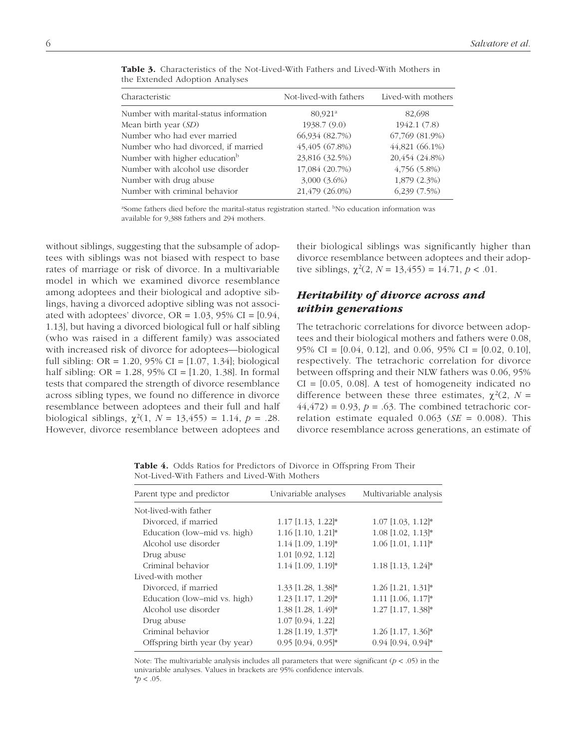| Characteristic                            | Not-lived-with fathers | Lived-with mothers |
|-------------------------------------------|------------------------|--------------------|
| Number with marital-status information    | 80,921 <sup>a</sup>    | 82,698             |
| Mean birth year (SD)                      | 1938.7(9.0)            | 1942.1 (7.8)       |
| Number who had ever married               | 66,934 (82.7%)         | 67,769 (81.9%)     |
| Number who had divorced, if married       | 45,405 (67.8%)         | 44,821 (66.1%)     |
| Number with higher education <sup>b</sup> | 23,816 (32.5%)         | 20,454 (24.8%)     |
| Number with alcohol use disorder          | 17,084 (20.7%)         | $4,756(5.8\%)$     |
| Number with drug abuse                    | $3,000(3.6\%)$         | 1,879 (2.3%)       |
| Number with criminal behavior             | 21,479 (26.0%)         | 6,239(7.5%)        |

Table 3. Characteristics of the Not-Lived-With Fathers and Lived-With Mothers in the Extended Adoption Analyses

<sup>a</sup>Some fathers died before the marital-status registration started. <sup>b</sup>No education information was available for 9,388 fathers and 294 mothers.

without siblings, suggesting that the subsample of adoptees with siblings was not biased with respect to base rates of marriage or risk of divorce. In a multivariable model in which we examined divorce resemblance among adoptees and their biological and adoptive siblings, having a divorced adoptive sibling was not associated with adoptees' divorce,  $OR = 1.03$ ,  $95\% CI = [0.94]$ , 1.13], but having a divorced biological full or half sibling (who was raised in a different family) was associated with increased risk of divorce for adoptees—biological full sibling:  $OR = 1.20$ , 95%  $CI = [1.07, 1.34]$ ; biological half sibling: OR = 1.28, 95% CI = [1.20, 1.38]. In formal tests that compared the strength of divorce resemblance across sibling types, we found no difference in divorce resemblance between adoptees and their full and half biological siblings,  $\chi^2(1, N = 13,455) = 1.14, p = .28$ . However, divorce resemblance between adoptees and

their biological siblings was significantly higher than divorce resemblance between adoptees and their adoptive siblings,  $\chi^2(2, N = 13,455) = 14.71, p < .01$ .

# *Heritability of divorce across and within generations*

The tetrachoric correlations for divorce between adoptees and their biological mothers and fathers were 0.08, 95% CI = [0.04, 0.12], and 0.06, 95% CI = [0.02, 0.10], respectively. The tetrachoric correlation for divorce between offspring and their NLW fathers was 0.06, 95%  $CI = [0.05, 0.08]$ . A test of homogeneity indicated no difference between these three estimates,  $\chi^2(2, N =$  $44,472$ ) = 0.93,  $p = .63$ . The combined tetrachoric correlation estimate equaled 0.063 (*SE* = 0.008). This divorce resemblance across generations, an estimate of

Table 4. Odds Ratios for Predictors of Divorce in Offspring From Their Not-Lived-With Fathers and Lived-With Mothers

| Univariable analyses    | Multivariable analysis  |  |
|-------------------------|-------------------------|--|
|                         |                         |  |
| $1.17$ [1.13, 1.22]*    | $1.07$ [1.03, 1.12]*    |  |
| $1.16$ [1.10, 1.21]*    | $1.08$ [1.02, 1.13]*    |  |
| $1.14$ [1.09, 1.19]*    | $1.06$ [1.01, 1.11]*    |  |
| $1.01$ [0.92, 1.12]     |                         |  |
| $1.14$ [1.09, 1.19]*    | $1.18$ [1.13, 1.24]*    |  |
|                         |                         |  |
| 1.33 [1.28, 1.38]*      | $1.26$ [1.21, 1.31]*    |  |
| $1.23$ [1.17, 1.29]*    | $1.11$ [1.06, $1.17$ ]* |  |
| $1.38$ [1.28, 1.49]*    | $1.27$ [1.17, 1.38]*    |  |
| $1.07$ [0.94, 1.22]     |                         |  |
| $1.28$ [1.19, $1.37$ ]* | $1.26$ [1.17, 1.36]*    |  |
| $0.95$ [0.94, 0.95]*    | $0.94$ [0.94, 0.94]*    |  |
|                         |                         |  |

Note: The multivariable analysis includes all parameters that were significant (*p* < .05) in the univariable analyses. Values in brackets are 95% confidence intervals.  $*_{p}$  < .05.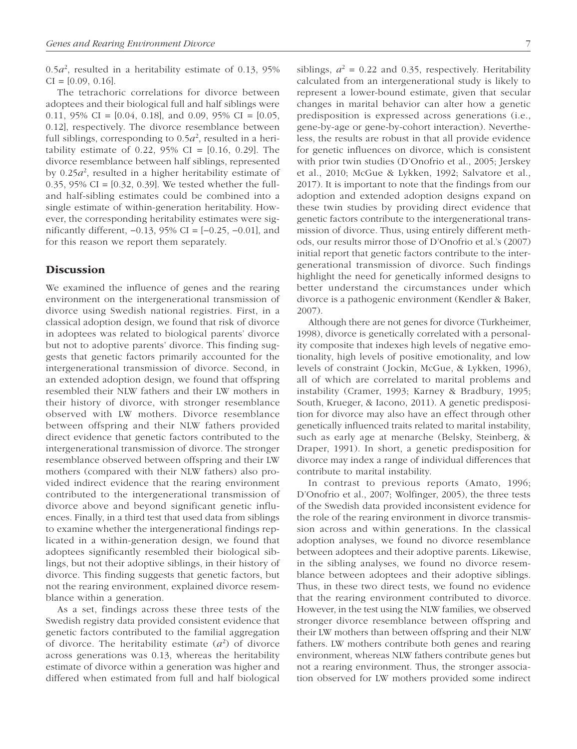$0.5a^2$ , resulted in a heritability estimate of 0.13, 95%  $CI = [0.09, 0.16].$ 

The tetrachoric correlations for divorce between adoptees and their biological full and half siblings were 0.11, 95% CI =  $[0.04, 0.18]$ , and 0.09, 95% CI =  $[0.05, 0.18]$ 0.12], respectively. The divorce resemblance between full siblings, corresponding to  $0.5a^2$ , resulted in a heritability estimate of 0.22, 95% CI =  $[0.16, 0.29]$ . The divorce resemblance between half siblings, represented by  $0.25a^2$ , resulted in a higher heritability estimate of 0.35, 95% CI =  $[0.32, 0.39]$ . We tested whether the fulland half-sibling estimates could be combined into a single estimate of within-generation heritability. However, the corresponding heritability estimates were significantly different, −0.13, 95% CI = [−0.25, −0.01], and for this reason we report them separately.

### **Discussion**

We examined the influence of genes and the rearing environment on the intergenerational transmission of divorce using Swedish national registries. First, in a classical adoption design, we found that risk of divorce in adoptees was related to biological parents' divorce but not to adoptive parents' divorce. This finding suggests that genetic factors primarily accounted for the intergenerational transmission of divorce. Second, in an extended adoption design, we found that offspring resembled their NLW fathers and their LW mothers in their history of divorce, with stronger resemblance observed with LW mothers. Divorce resemblance between offspring and their NLW fathers provided direct evidence that genetic factors contributed to the intergenerational transmission of divorce. The stronger resemblance observed between offspring and their LW mothers (compared with their NLW fathers) also provided indirect evidence that the rearing environment contributed to the intergenerational transmission of divorce above and beyond significant genetic influences. Finally, in a third test that used data from siblings to examine whether the intergenerational findings replicated in a within-generation design, we found that adoptees significantly resembled their biological siblings, but not their adoptive siblings, in their history of divorce. This finding suggests that genetic factors, but not the rearing environment, explained divorce resemblance within a generation.

As a set, findings across these three tests of the Swedish registry data provided consistent evidence that genetic factors contributed to the familial aggregation of divorce. The heritability estimate  $(a^2)$  of divorce across generations was 0.13, whereas the heritability estimate of divorce within a generation was higher and differed when estimated from full and half biological

siblings,  $a^2 = 0.22$  and 0.35, respectively. Heritability calculated from an intergenerational study is likely to represent a lower-bound estimate, given that secular changes in marital behavior can alter how a genetic predisposition is expressed across generations (i.e., gene-by-age or gene-by-cohort interaction). Nevertheless, the results are robust in that all provide evidence for genetic influences on divorce, which is consistent with prior twin studies (D'Onofrio et al., 2005; Jerskey et al., 2010; McGue & Lykken, 1992; Salvatore et al., 2017). It is important to note that the findings from our adoption and extended adoption designs expand on these twin studies by providing direct evidence that genetic factors contribute to the intergenerational transmission of divorce. Thus, using entirely different methods, our results mirror those of D'Onofrio et al.'s (2007) initial report that genetic factors contribute to the intergenerational transmission of divorce. Such findings highlight the need for genetically informed designs to better understand the circumstances under which divorce is a pathogenic environment (Kendler & Baker, 2007).

Although there are not genes for divorce (Turkheimer, 1998), divorce is genetically correlated with a personality composite that indexes high levels of negative emotionality, high levels of positive emotionality, and low levels of constraint (Jockin, McGue, & Lykken, 1996), all of which are correlated to marital problems and instability (Cramer, 1993; Karney & Bradbury, 1995; South, Krueger, & Iacono, 2011). A genetic predisposition for divorce may also have an effect through other genetically influenced traits related to marital instability, such as early age at menarche (Belsky, Steinberg, & Draper, 1991). In short, a genetic predisposition for divorce may index a range of individual differences that contribute to marital instability.

In contrast to previous reports (Amato, 1996; D'Onofrio et al., 2007; Wolfinger, 2005), the three tests of the Swedish data provided inconsistent evidence for the role of the rearing environment in divorce transmission across and within generations. In the classical adoption analyses, we found no divorce resemblance between adoptees and their adoptive parents. Likewise, in the sibling analyses, we found no divorce resemblance between adoptees and their adoptive siblings. Thus, in these two direct tests, we found no evidence that the rearing environment contributed to divorce. However, in the test using the NLW families, we observed stronger divorce resemblance between offspring and their LW mothers than between offspring and their NLW fathers. LW mothers contribute both genes and rearing environment, whereas NLW fathers contribute genes but not a rearing environment. Thus, the stronger association observed for LW mothers provided some indirect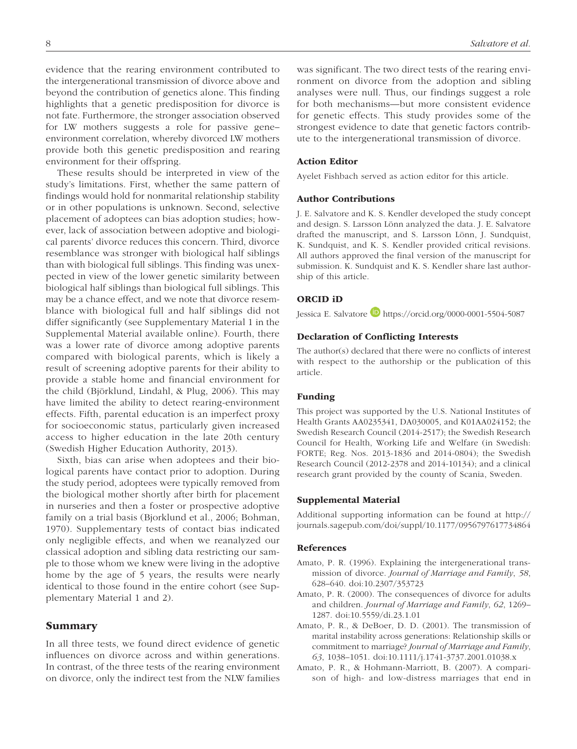evidence that the rearing environment contributed to the intergenerational transmission of divorce above and beyond the contribution of genetics alone. This finding highlights that a genetic predisposition for divorce is not fate. Furthermore, the stronger association observed for LW mothers suggests a role for passive gene– environment correlation, whereby divorced LW mothers provide both this genetic predisposition and rearing environment for their offspring.

These results should be interpreted in view of the study's limitations. First, whether the same pattern of findings would hold for nonmarital relationship stability or in other populations is unknown. Second, selective placement of adoptees can bias adoption studies; however, lack of association between adoptive and biological parents' divorce reduces this concern. Third, divorce resemblance was stronger with biological half siblings than with biological full siblings. This finding was unexpected in view of the lower genetic similarity between biological half siblings than biological full siblings. This may be a chance effect, and we note that divorce resemblance with biological full and half siblings did not differ significantly (see [Supplementary Material 1](http://journals.sagepub.com/doi/suppl/10.1177/0956797617734864) in the Supplemental Material available online). Fourth, there was a lower rate of divorce among adoptive parents compared with biological parents, which is likely a result of screening adoptive parents for their ability to provide a stable home and financial environment for the child (Björklund, Lindahl, & Plug, 2006). This may have limited the ability to detect rearing-environment effects. Fifth, parental education is an imperfect proxy for socioeconomic status, particularly given increased access to higher education in the late 20th century (Swedish Higher Education Authority, 2013).

Sixth, bias can arise when adoptees and their biological parents have contact prior to adoption. During the study period, adoptees were typically removed from the biological mother shortly after birth for placement in nurseries and then a foster or prospective adoptive family on a trial basis (Bjorklund et al., 2006; Bohman, 1970). Supplementary tests of contact bias indicated only negligible effects, and when we reanalyzed our classical adoption and sibling data restricting our sample to those whom we knew were living in the adoptive home by the age of 5 years, the results were nearly [identical to those found in the entire cohort \(see Sup](http://journals.sagepub.com/doi/suppl/10.1177/0956797617734864)plementary Material 1 and 2).

### Summary

In all three tests, we found direct evidence of genetic influences on divorce across and within generations. In contrast, of the three tests of the rearing environment on divorce, only the indirect test from the NLW families

### Action Editor

Ayelet Fishbach served as action editor for this article.

strongest evidence to date that genetic factors contribute to the intergenerational transmission of divorce.

#### Author Contributions

J. E. Salvatore and K. S. Kendler developed the study concept and design. S. Larsson Lönn analyzed the data. J. E. Salvatore drafted the manuscript, and S. Larsson Lönn, J. Sundquist, K. Sundquist, and K. S. Kendler provided critical revisions. All authors approved the final version of the manuscript for submission. K. Sundquist and K. S. Kendler share last authorship of this article.

### ORCID iD

Jessica E. Salvatore <https://orcid.org/0000-0001-5504-5087>

#### Declaration of Conflicting Interests

The author(s) declared that there were no conflicts of interest with respect to the authorship or the publication of this article.

### Funding

This project was supported by the U.S. National Institutes of Health Grants AA0235341, DA030005, and K01AA024152; the Swedish Research Council (2014-2517); the Swedish Research Council for Health, Working Life and Welfare (in Swedish: FORTE; Reg. Nos. 2013-1836 and 2014-0804); the Swedish Research Council (2012-2378 and 2014-10134); and a clinical research grant provided by the county of Scania, Sweden.

### Supplemental Material

Additional supporting information can be found at [http://](http://journals.sagepub.com/doi/suppl/10.1177/0956797617734864) [journals.sagepub.com/doi/suppl/10.1177/0956797617734864](http://journals.sagepub.com/doi/suppl/10.1177/0956797617734864)

#### References

- Amato, P. R. (1996). Explaining the intergenerational transmission of divorce. *Journal of Marriage and Family*, *58*, 628–640. doi:10.2307/353723
- Amato, P. R. (2000). The consequences of divorce for adults and children. *Journal of Marriage and Family*, *62*, 1269– 1287. doi:10.5559/di.23.1.01
- Amato, P. R., & DeBoer, D. D. (2001). The transmission of marital instability across generations: Relationship skills or commitment to marriage? *Journal of Marriage and Family*, *63*, 1038–1051. doi:10.1111/j.1741-3737.2001.01038.x
- Amato, P. R., & Hohmann-Marriott, B. (2007). A comparison of high- and low-distress marriages that end in